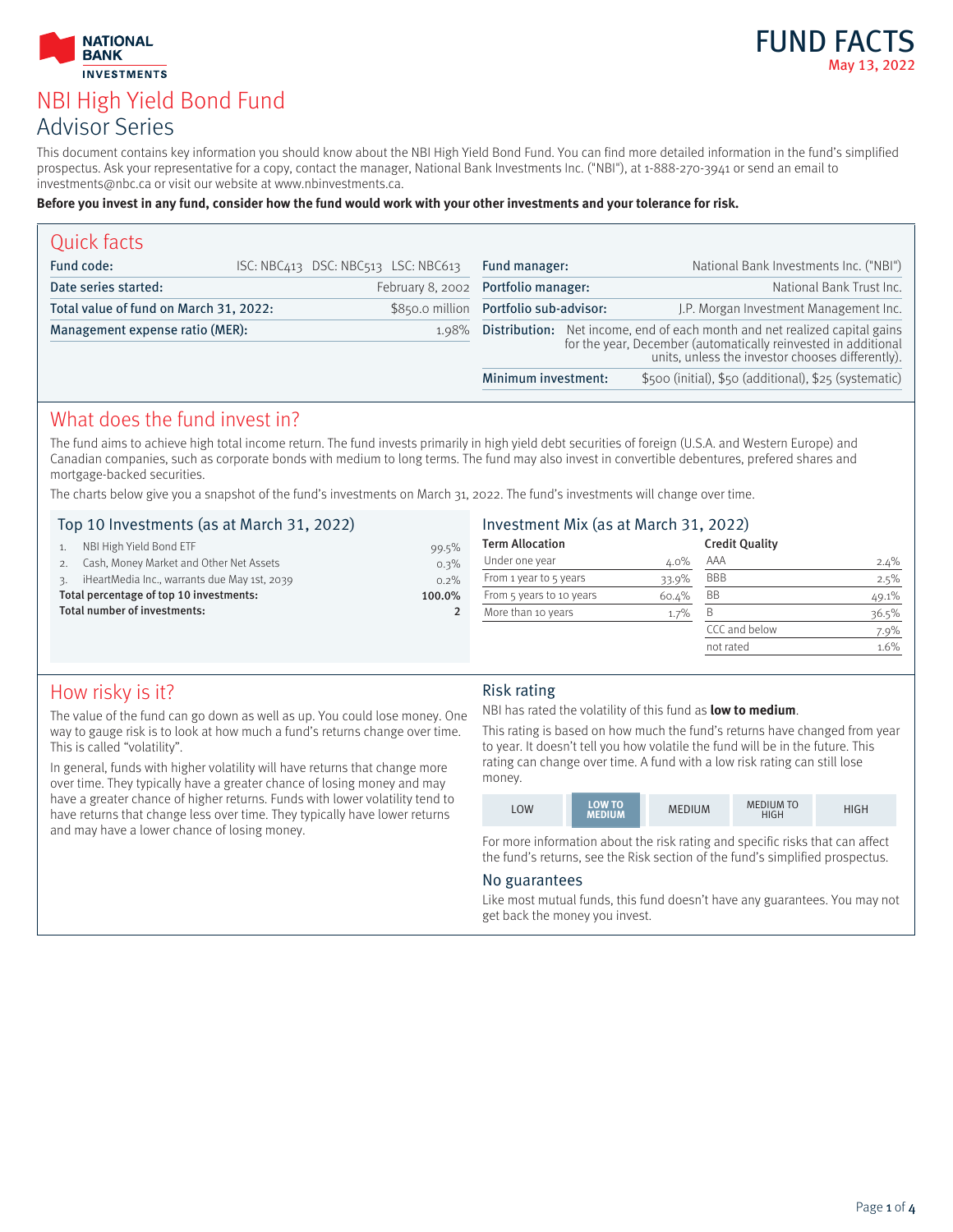



# NBI High Yield Bond Fund Advisor Series

This document contains key information you should know about the NBI High Yield Bond Fund. You can find more detailed information in the fund's simplified prospectus. Ask your representative for a copy, contact the manager, National Bank Investments Inc. ("NBI"), at 1-888-270-3941 or send an email to investments@nbc.ca or visit our website at www.nbinvestments.ca.

#### **Before you invest in any fund, consider how the fund would work with your other investments and your tolerance for risk.**

| Quick facts                            |  |                                        |                                                                                                                                                                                                            |                                                       |
|----------------------------------------|--|----------------------------------------|------------------------------------------------------------------------------------------------------------------------------------------------------------------------------------------------------------|-------------------------------------------------------|
| Fund code:                             |  | ISC: NBC413 DSC: NBC513 LSC: NBC613    | Fund manager:                                                                                                                                                                                              | National Bank Investments Inc. ("NBI")                |
| Date series started:                   |  | February 8, 2002 Portfolio manager:    |                                                                                                                                                                                                            | National Bank Trust Inc.                              |
| Total value of fund on March 31, 2022: |  | \$850.0 million Portfolio sub-advisor: |                                                                                                                                                                                                            | J.P. Morgan Investment Management Inc.                |
| Management expense ratio (MER):        |  |                                        | 1.98% <b>Distribution:</b> Net income, end of each month and net realized capital gains for the year, December (automatically reinvested in additional<br>units, unless the investor chooses differently). |                                                       |
|                                        |  |                                        | Minimum investment:                                                                                                                                                                                        | \$500 (initial), \$50 (additional), \$25 (systematic) |

### What does the fund invest in?

The fund aims to achieve high total income return. The fund invests primarily in high yield debt securities of foreign (U.S.A. and Western Europe) and Canadian companies, such as corporate bonds with medium to long terms. The fund may also invest in convertible debentures, prefered shares and mortgage-backed securities.

The charts below give you a snapshot of the fund's investments on March 31, 2022. The fund's investments will change over time.

#### Top 10 Investments (as at March 31, 2022)

| Total number of investments:            |                                              | $\mathcal{P}$ |
|-----------------------------------------|----------------------------------------------|---------------|
| Total percentage of top 10 investments: |                                              | 100.0%        |
|                                         | iHeartMedia Inc., warrants due May 1st, 2039 | 0.2%          |
|                                         | Cash, Money Market and Other Net Assets      | 0.3%          |
|                                         | NBI High Yield Bond ETF                      | 99.5%         |
|                                         |                                              |               |

#### Investment Mix (as at March 31, 2022)

| <b>Term Allocation</b>   |       | <b>Credit Quality</b> |         |
|--------------------------|-------|-----------------------|---------|
| Under one year           | 4.0%  | AAA                   | 2.4%    |
| From 1 year to 5 years   | 33.9% | <b>BBB</b>            | 2.5%    |
| From 5 years to 10 years | 60.4% | <b>BB</b>             | 49.1%   |
| More than 10 years       | 1.7%  | B                     | 36.5%   |
|                          |       | CCC and below         | $7.9\%$ |
|                          |       | not rated             | 1.6%    |
|                          |       |                       |         |

### How risky is it?

The value of the fund can go down as well as up. You could lose money. One way to gauge risk is to look at how much a fund's returns change over time. This is called "volatility".

In general, funds with higher volatility will have returns that change more over time. They typically have a greater chance of losing money and may have a greater chance of higher returns. Funds with lower volatility tend to have returns that change less over time. They typically have lower returns and may have a lower chance of losing money.

#### Risk rating

#### NBI has rated the volatility of this fund as **low to medium**.

This rating is based on how much the fund's returns have changed from year to year. It doesn't tell you how volatile the fund will be in the future. This rating can change over time. A fund with a low risk rating can still lose money.

|--|

For more information about the risk rating and specific risks that can affect the fund's returns, see the Risk section of the fund's simplified prospectus.

#### No guarantees

Like most mutual funds, this fund doesn't have any guarantees. You may not get back the money you invest.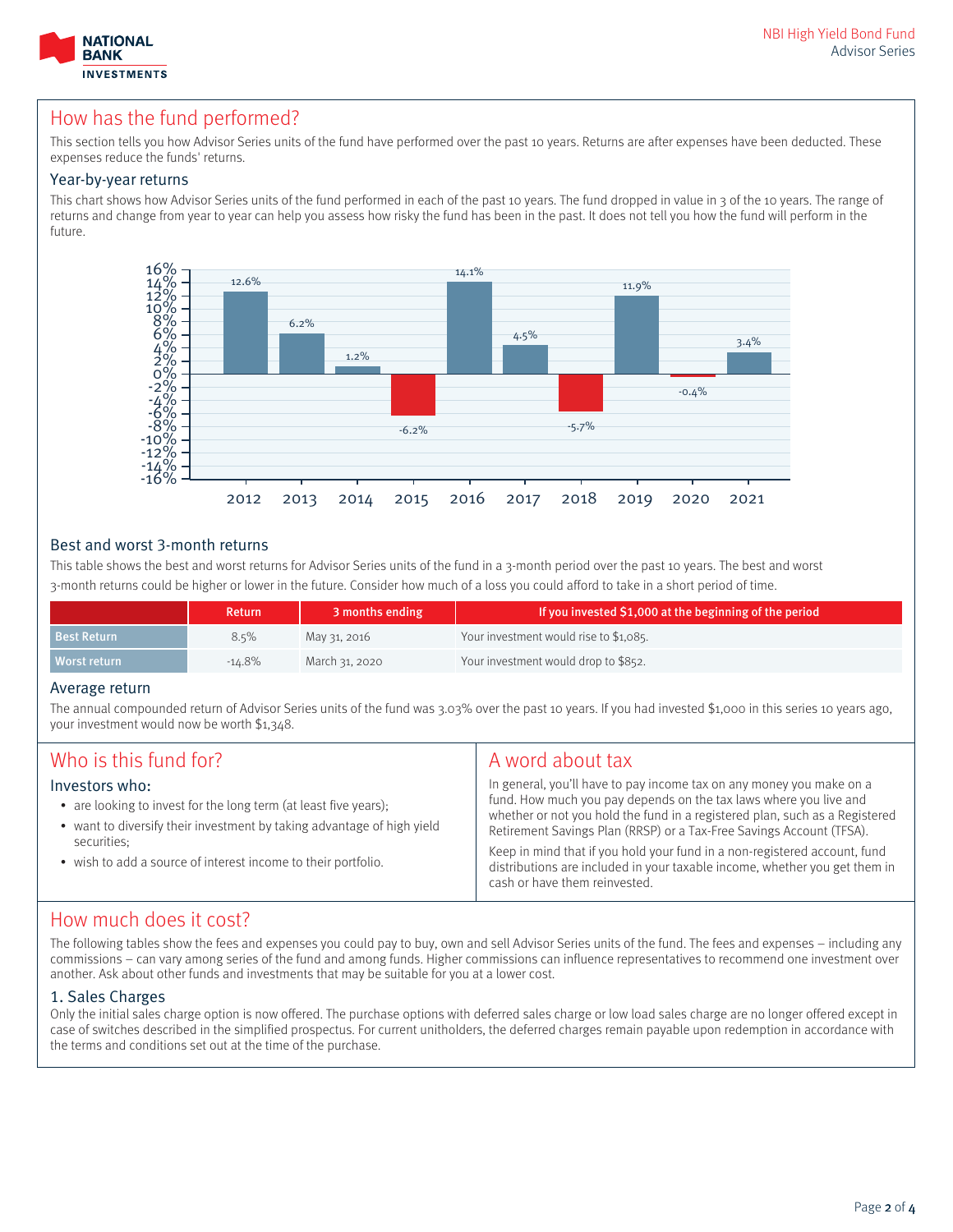

### How has the fund performed?

This section tells you how Advisor Series units of the fund have performed over the past 10 years. Returns are after expenses have been deducted. These expenses reduce the funds' returns.

#### Year-by-year returns

This chart shows how Advisor Series units of the fund performed in each of the past 10 years. The fund dropped in value in 3 of the 10 years. The range of returns and change from year to year can help you assess how risky the fund has been in the past. It does not tell you how the fund will perform in the future.



#### Best and worst 3-month returns

This table shows the best and worst returns for Advisor Series units of the fund in a 3-month period over the past 10 years. The best and worst 3-month returns could be higher or lower in the future. Consider how much of a loss you could afford to take in a short period of time.

|                    | <b>Return</b> | 3 months ending | If you invested \$1,000 at the beginning of the period |
|--------------------|---------------|-----------------|--------------------------------------------------------|
| <b>Best Return</b> | 8.5%          | May 31, 2016    | Your investment would rise to \$1,085.                 |
| Worst return       | $-14.8\%$     | March 31, 2020  | Your investment would drop to \$852.                   |

#### Average return

The annual compounded return of Advisor Series units of the fund was 3.03% over the past 10 years. If you had invested \$1,000 in this series 10 years ago, your investment would now be worth \$1,348.

| Who is this fund for?                                                                                                                                                                                                                        | A word about tax                                                                                                                                                                                                                                                                                                                                                                                                                                                                             |
|----------------------------------------------------------------------------------------------------------------------------------------------------------------------------------------------------------------------------------------------|----------------------------------------------------------------------------------------------------------------------------------------------------------------------------------------------------------------------------------------------------------------------------------------------------------------------------------------------------------------------------------------------------------------------------------------------------------------------------------------------|
| Investors who:<br>• are looking to invest for the long term (at least five years);<br>• want to diversify their investment by taking advantage of high yield<br>securities;<br>• wish to add a source of interest income to their portfolio. | In general, you'll have to pay income tax on any money you make on a<br>fund. How much you pay depends on the tax laws where you live and<br>whether or not you hold the fund in a registered plan, such as a Registered<br>Retirement Savings Plan (RRSP) or a Tax-Free Savings Account (TFSA).<br>Keep in mind that if you hold your fund in a non-registered account, fund<br>distributions are included in your taxable income, whether you get them in<br>cash or have them reinvested. |

### How much does it cost?

The following tables show the fees and expenses you could pay to buy, own and sell Advisor Series units of the fund. The fees and expenses – including any commissions – can vary among series of the fund and among funds. Higher commissions can influence representatives to recommend one investment over another. Ask about other funds and investments that may be suitable for you at a lower cost.

#### 1. Sales Charges

Only the initial sales charge option is now offered. The purchase options with deferred sales charge or low load sales charge are no longer offered except in case of switches described in the simplified prospectus. For current unitholders, the deferred charges remain payable upon redemption in accordance with the terms and conditions set out at the time of the purchase.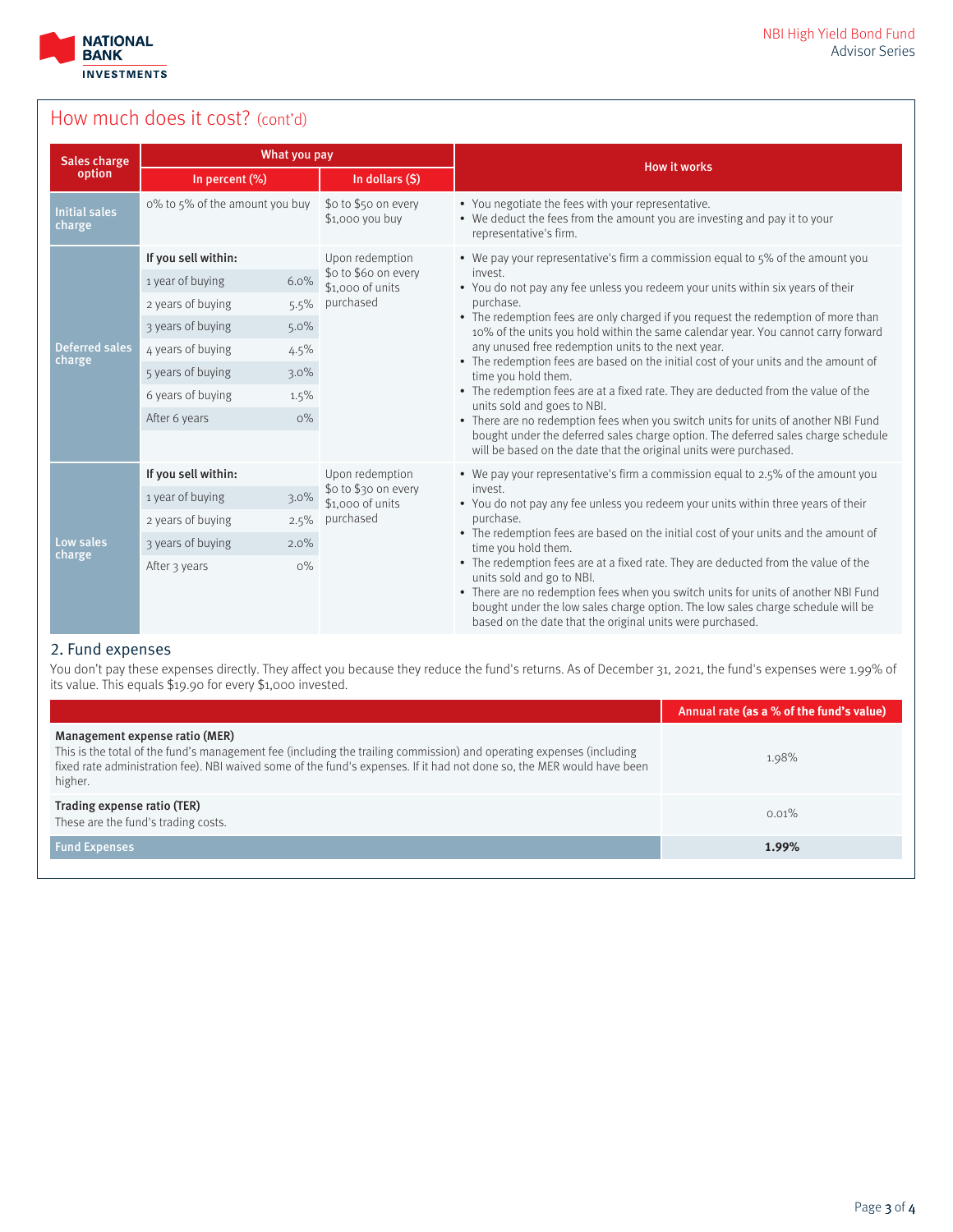

# How much does it cost? (cont'd)

| Sales charge                    | What you pay                   |                                                    |                                                                                                                                                                                                                                                                                                                                                                                                                                                                                 |  |  |
|---------------------------------|--------------------------------|----------------------------------------------------|---------------------------------------------------------------------------------------------------------------------------------------------------------------------------------------------------------------------------------------------------------------------------------------------------------------------------------------------------------------------------------------------------------------------------------------------------------------------------------|--|--|
| option                          | In percent (%)                 | In dollars (\$)                                    | <b>How it works</b>                                                                                                                                                                                                                                                                                                                                                                                                                                                             |  |  |
| <b>Initial sales</b><br>charge  | o% to 5% of the amount you buy | \$o to \$50 on every<br>\$1,000 you buy            | • You negotiate the fees with your representative.<br>• We deduct the fees from the amount you are investing and pay it to your<br>representative's firm.                                                                                                                                                                                                                                                                                                                       |  |  |
|                                 | If you sell within:            | Upon redemption                                    | • We pay your representative's firm a commission equal to 5% of the amount you                                                                                                                                                                                                                                                                                                                                                                                                  |  |  |
|                                 | 6.0%<br>1 year of buying       | \$o to \$6o on every<br>\$1,000 of units           | invest.<br>• You do not pay any fee unless you redeem your units within six years of their                                                                                                                                                                                                                                                                                                                                                                                      |  |  |
|                                 | 2 years of buying<br>5.5%      | purchased                                          | purchase.                                                                                                                                                                                                                                                                                                                                                                                                                                                                       |  |  |
|                                 | 3 years of buying<br>5.0%      |                                                    | • The redemption fees are only charged if you request the redemption of more than<br>10% of the units you hold within the same calendar year. You cannot carry forward                                                                                                                                                                                                                                                                                                          |  |  |
| <b>Deferred sales</b><br>charge | 4 years of buying<br>4.5%      | any unused free redemption units to the next year. |                                                                                                                                                                                                                                                                                                                                                                                                                                                                                 |  |  |
|                                 | 5 years of buying<br>$3.0\%$   |                                                    | • The redemption fees are based on the initial cost of your units and the amount of<br>time you hold them.<br>• The redemption fees are at a fixed rate. They are deducted from the value of the<br>units sold and goes to NBI.<br>• There are no redemption fees when you switch units for units of another NBI Fund<br>bought under the deferred sales charge option. The deferred sales charge schedule<br>will be based on the date that the original units were purchased. |  |  |
|                                 | 6 years of buying<br>1.5%      |                                                    |                                                                                                                                                                                                                                                                                                                                                                                                                                                                                 |  |  |
|                                 | After 6 years<br>$O\%$         |                                                    |                                                                                                                                                                                                                                                                                                                                                                                                                                                                                 |  |  |
|                                 |                                |                                                    |                                                                                                                                                                                                                                                                                                                                                                                                                                                                                 |  |  |
|                                 | If you sell within:            | Upon redemption                                    | • We pay your representative's firm a commission equal to 2.5% of the amount you                                                                                                                                                                                                                                                                                                                                                                                                |  |  |
|                                 | 1 year of buying<br>$3.0\%$    | \$0 to \$30 on every<br>\$1,000 of units           | invest.<br>• You do not pay any fee unless you redeem your units within three years of their                                                                                                                                                                                                                                                                                                                                                                                    |  |  |
| Low sales<br>charge             | 2 years of buying<br>2.5%      | purchased                                          | purchase.                                                                                                                                                                                                                                                                                                                                                                                                                                                                       |  |  |
|                                 | 3 years of buying<br>2.0%      |                                                    | • The redemption fees are based on the initial cost of your units and the amount of<br>time you hold them.                                                                                                                                                                                                                                                                                                                                                                      |  |  |
|                                 | $O\%$<br>After 3 years         |                                                    | • The redemption fees are at a fixed rate. They are deducted from the value of the<br>units sold and go to NBI.<br>• There are no redemption fees when you switch units for units of another NBI Fund                                                                                                                                                                                                                                                                           |  |  |
|                                 |                                |                                                    | bought under the low sales charge option. The low sales charge schedule will be<br>based on the date that the original units were purchased.                                                                                                                                                                                                                                                                                                                                    |  |  |

#### 2. Fund expenses

You don't pay these expenses directly. They affect you because they reduce the fund's returns. As of December 31, 2021, the fund's expenses were 1.99% of its value. This equals \$19.90 for every \$1,000 invested.

|                                                                                                                                                                                                                                                                                             | Annual rate (as a % of the fund's value) |
|---------------------------------------------------------------------------------------------------------------------------------------------------------------------------------------------------------------------------------------------------------------------------------------------|------------------------------------------|
| Management expense ratio (MER)<br>This is the total of the fund's management fee (including the trailing commission) and operating expenses (including<br>fixed rate administration fee). NBI waived some of the fund's expenses. If it had not done so, the MER would have been<br>higher. | 1.98%                                    |
| Trading expense ratio (TER)<br>These are the fund's trading costs.                                                                                                                                                                                                                          | 0.01%                                    |
| <b>Fund Expenses</b>                                                                                                                                                                                                                                                                        | 1.99%                                    |